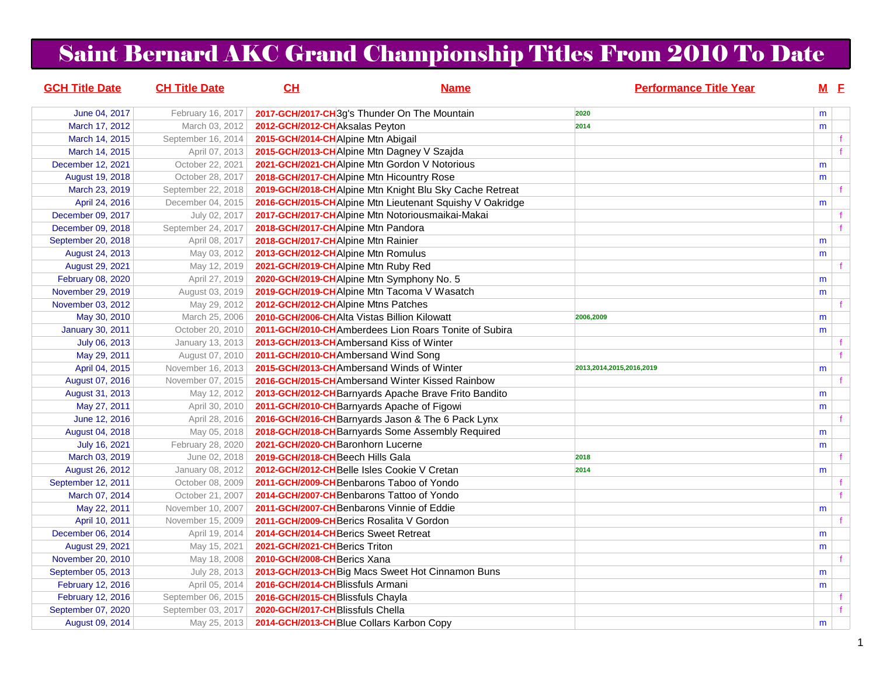## Saint Bernard AKC Grand Championship Titles From 2010 To Date

| <b>GCH Title Date</b>                 | <b>CH Title Date</b>              | CL                                                                      | <b>Name</b>                                              | <b>Performance Title Year</b> |   | $M$ E |
|---------------------------------------|-----------------------------------|-------------------------------------------------------------------------|----------------------------------------------------------|-------------------------------|---|-------|
| June 04, 2017                         | February 16, 2017                 |                                                                         | 2017-GCH/2017-CH3g's Thunder On The Mountain             | 2020                          | m |       |
| March 17, 2012                        | March 03, 2012                    | 2012-GCH/2012-CH Aksalas Peyton                                         |                                                          | 2014                          | m |       |
| March 14, 2015                        | September 16, 2014                | 2015-GCH/2014-CHAlpine Mtn Abigail                                      |                                                          |                               |   |       |
| March 14, 2015                        | April 07, 2013                    |                                                                         | 2015-GCH/2013-CHAlpine Mtn Dagney V Szajda               |                               |   |       |
| December 12, 2021                     | October 22, 2021                  |                                                                         | 2021-GCH/2021-CH Alpine Mtn Gordon V Notorious           |                               | m |       |
| August 19, 2018                       | October 28, 2017                  |                                                                         | 2018-GCH/2017-CHAlpine Mtn Hicountry Rose                |                               | m |       |
| March 23, 2019                        | September 22, 2018                |                                                                         | 2019-GCH/2018-CHAlpine Mtn Knight Blu Sky Cache Retreat  |                               |   |       |
| April 24, 2016                        | December 04, 2015                 |                                                                         | 2016-GCH/2015-CHAlpine Mtn Lieutenant Squishy V Oakridge |                               | m |       |
| December 09, 2017                     | July 02, 2017                     |                                                                         | 2017-GCH/2017-CHAlpine Mtn Notoriousmaikai-Makai         |                               |   | f     |
| December 09, 2018                     | September 24, 2017                | 2018-GCH/2017-CHAlpine Mtn Pandora                                      |                                                          |                               |   |       |
| September 20, 2018                    | April 08, 2017                    | 2018-GCH/2017-CH Alpine Mtn Rainier                                     |                                                          |                               | m |       |
| August 24, 2013                       | May 03, 2012                      | 2013-GCH/2012-CHAlpine Mtn Romulus                                      |                                                          |                               | m |       |
| August 29, 2021                       | May 12, 2019                      | 2021-GCH/2019-CHAlpine Mtn Ruby Red                                     |                                                          |                               |   |       |
| February 08, 2020                     | April 27, 2019                    |                                                                         | 2020-GCH/2019-CHAlpine Mtn Symphony No. 5                |                               | m |       |
| November 29, 2019                     | August 03, 2019                   |                                                                         | 2019-GCH/2019-CHAlpine Mtn Tacoma V Wasatch              |                               | m |       |
| November 03, 2012                     | May 29, 2012                      | 2012-GCH/2012-CHAlpine Mtns Patches                                     |                                                          |                               |   | f     |
| May 30, 2010                          | March 25, 2006                    | 2010-GCH/2006-CHAIta Vistas Billion Kilowatt                            |                                                          | 2006,2009                     | m |       |
| <b>January 30, 2011</b>               | October 20, 2010                  |                                                                         | 2011-GCH/2010-CHAmberdees Lion Roars Tonite of Subira    |                               | m |       |
| July 06, 2013                         | January 13, 2013                  | 2013-GCH/2013-CHAmbersand Kiss of Winter                                |                                                          |                               |   |       |
| May 29, 2011                          | August 07, 2010                   | 2011-GCH/2010-CH Ambersand Wind Song                                    |                                                          |                               |   | f     |
| April 04, 2015                        | November 16, 2013                 |                                                                         | 2015-GCH/2013-CHAmbersand Winds of Winter                | 2013,2014,2015,2016,2019      | m |       |
| August 07, 2016                       | November 07, 2015                 |                                                                         | 2016-GCH/2015-CHAmbersand Winter Kissed Rainbow          |                               |   |       |
| August 31, 2013                       | May 12, 2012                      |                                                                         | 2013-GCH/2012-CH Barnyards Apache Brave Frito Bandito    |                               | m |       |
| May 27, 2011                          | April 30, 2010                    |                                                                         | 2011-GCH/2010-CH Barnyards Apache of Figowi              |                               | m |       |
| June 12, 2016                         | April 28, 2016                    |                                                                         | 2016-GCH/2016-CH Barnyards Jason & The 6 Pack Lynx       |                               |   |       |
| August 04, 2018                       | May 05, 2018                      |                                                                         | 2018-GCH/2018-CH Barnyards Some Assembly Required        |                               | m |       |
| July 16, 2021                         | February 28, 2020                 | 2021-GCH/2020-CH Baronhorn Lucerne<br>2019-GCH/2018-CH Beech Hills Gala |                                                          |                               | m |       |
| March 03, 2019                        | June 02, 2018<br>January 08, 2012 |                                                                         | 2012-GCH/2012-CHBelle Isles Cookie V Cretan              | 2018<br>2014                  | m |       |
| August 26, 2012<br>September 12, 2011 | October 08, 2009                  |                                                                         | 2011-GCH/2009-CHBenbarons Taboo of Yondo                 |                               |   |       |
| March 07, 2014                        | October 21, 2007                  |                                                                         | 2014-GCH/2007-CHBenbarons Tattoo of Yondo                |                               |   | f     |
| May 22, 2011                          | November 10, 2007                 |                                                                         | 2011-GCH/2007-CHBenbarons Vinnie of Eddie                |                               | m |       |
| April 10, 2011                        | November 15, 2009                 | 2011-GCH/2009-CHBerics Rosalita V Gordon                                |                                                          |                               |   |       |
| December 06, 2014                     | April 19, 2014                    | 2014-GCH/2014-CH Berics Sweet Retreat                                   |                                                          |                               | m |       |
| August 29, 2021                       | May 15, 2021                      | 2021-GCH/2021-CHBerics Triton                                           |                                                          |                               | m |       |
| November 20, 2010                     | May 18, 2008                      | 2010-GCH/2008-CHBerics Xana                                             |                                                          |                               |   |       |
| September 05, 2013                    | July 28, 2013                     |                                                                         | 2013-GCH/2013-CH Big Macs Sweet Hot Cinnamon Buns        |                               | m |       |
| February 12, 2016                     | April 05, 2014                    | 2016-GCH/2014-CHBlissfuls Armani                                        |                                                          |                               | m |       |
| February 12, 2016                     | September 06, 2015                | 2016-GCH/2015-CH Blissfuls Chayla                                       |                                                          |                               |   | f     |
| September 07, 2020                    | September 03, 2017                | 2020-GCH/2017-CHBlissfuls Chella                                        |                                                          |                               |   |       |
| August 09, 2014                       | May 25, 2013                      | 2014-GCH/2013-CH Blue Collars Karbon Copy                               |                                                          |                               | m |       |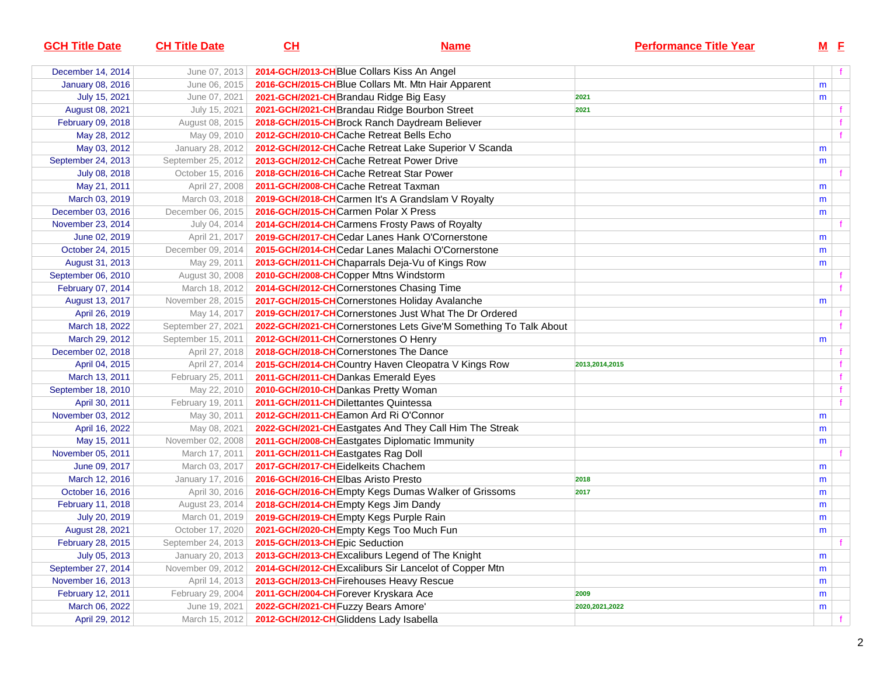| <b>GCH Title Date</b>   | <b>CH Title Date</b> | CL                                         | <b>Name</b>                                                      | <b>Performance Title Year</b> |   | $M$ E |
|-------------------------|----------------------|--------------------------------------------|------------------------------------------------------------------|-------------------------------|---|-------|
| December 14, 2014       | June 07, 2013        | 2014-GCH/2013-CHBlue Collars Kiss An Angel |                                                                  |                               |   |       |
| <b>January 08, 2016</b> | June 06, 2015        |                                            | 2016-GCH/2015-CH Blue Collars Mt. Mtn Hair Apparent              |                               | m |       |
| July 15, 2021           | June 07, 2021        | 2021-GCH/2021-CH Brandau Ridge Big Easy    |                                                                  | 2021                          | m |       |
| August 08, 2021         | July 15, 2021        |                                            | 2021-GCH/2021-CH Brandau Ridge Bourbon Street                    | 2021                          |   |       |
| February 09, 2018       | August 08, 2015      |                                            | 2018-GCH/2015-CH Brock Ranch Daydream Believer                   |                               |   |       |
| May 28, 2012            | May 09, 2010         | 2012-GCH/2010-CHCache Retreat Bells Echo   |                                                                  |                               |   | f     |
| May 03, 2012            | January 28, 2012     |                                            | 2012-GCH/2012-CHCache Retreat Lake Superior V Scanda             |                               | m |       |
| September 24, 2013      | September 25, 2012   |                                            | 2013-GCH/2012-CHCache Retreat Power Drive                        |                               | m |       |
| July 08, 2018           | October 15, 2016     | 2018-GCH/2016-CHCache Retreat Star Power   |                                                                  |                               |   |       |
| May 21, 2011            | April 27, 2008       | 2011-GCH/2008-CHCache Retreat Taxman       |                                                                  |                               | m |       |
| March 03, 2019          | March 03, 2018       |                                            | 2019-GCH/2018-CHCarmen It's A Grandslam V Royalty                |                               | m |       |
| December 03, 2016       | December 06, 2015    | 2016-GCH/2015-CHCarmen Polar X Press       |                                                                  |                               | m |       |
| November 23, 2014       | July 04, 2014        |                                            | 2014-GCH/2014-CHCarmens Frosty Paws of Royalty                   |                               |   |       |
| June 02, 2019           | April 21, 2017       |                                            | 2019-GCH/2017-CHCedar Lanes Hank O'Cornerstone                   |                               | m |       |
| October 24, 2015        | December 09, 2014    |                                            | 2015-GCH/2014-CHCedar Lanes Malachi O'Cornerstone                |                               | m |       |
| August 31, 2013         | May 29, 2011         |                                            | 2013-GCH/2011-CHChaparrals Deja-Vu of Kings Row                  |                               | m |       |
| September 06, 2010      | August 30, 2008      | 2010-GCH/2008-CHCopper Mtns Windstorm      |                                                                  |                               |   |       |
| February 07, 2014       | March 18, 2012       |                                            | 2014-GCH/2012-CHCornerstones Chasing Time                        |                               |   |       |
| August 13, 2017         | November 28, 2015    |                                            | 2017-GCH/2015-CHCornerstones Holiday Avalanche                   |                               | m |       |
| April 26, 2019          | May 14, 2017         |                                            | 2019-GCH/2017-CHCornerstones Just What The Dr Ordered            |                               |   |       |
| March 18, 2022          | September 27, 2021   |                                            | 2022-GCH/2021-CHCornerstones Lets Give'M Something To Talk About |                               |   |       |
| March 29, 2012          | September 15, 2011   | 2012-GCH/2011-CHCornerstones O Henry       |                                                                  |                               | m |       |
| December 02, 2018       | April 27, 2018       | 2018-GCH/2018-CHCornerstones The Dance     |                                                                  |                               |   |       |
| April 04, 2015          | April 27, 2014       |                                            | 2015-GCH/2014-CHCountry Haven Cleopatra V Kings Row              | 2013,2014,2015                |   |       |
| March 13, 2011          | February 25, 2011    | 2011-GCH/2011-CH Dankas Emerald Eyes       |                                                                  |                               |   |       |
| September 18, 2010      | May 22, 2010         | 2010-GCH/2010-CH Dankas Pretty Woman       |                                                                  |                               |   | f.    |
| April 30, 2011          | February 19, 2011    | 2011-GCH/2011-CH Dilettantes Quintessa     |                                                                  |                               |   |       |
| November 03, 2012       | May 30, 2011         | 2012-GCH/2011-CHEamon Ard Ri O'Connor      |                                                                  |                               | m |       |
| April 16, 2022          | May 08, 2021         |                                            | 2022-GCH/2021-CH Eastgates And They Call Him The Streak          |                               | m |       |
| May 15, 2011            | November 02, 2008    |                                            | 2011-GCH/2008-CH Eastgates Diplomatic Immunity                   |                               | m |       |
| November 05, 2011       | March 17, 2011       | 2011-GCH/2011-CHEastgates Rag Doll         |                                                                  |                               |   |       |
| June 09, 2017           | March 03, 2017       | 2017-GCH/2017-CHEidelkeits Chachem         |                                                                  |                               | m |       |
| March 12, 2016          | January 17, 2016     | 2016-GCH/2016-CHEIbas Aristo Presto        |                                                                  | 2018                          | m |       |
| October 16, 2016        | April 30, 2016       |                                            | 2016-GCH/2016-CH Empty Kegs Dumas Walker of Grissoms             | 2017                          | m |       |
| February 11, 2018       | August 23, 2014      | 2018-GCH/2014-CH Empty Kegs Jim Dandy      |                                                                  |                               | m |       |
| July 20, 2019           | March 01, 2019       | 2019-GCH/2019-CHEmpty Kegs Purple Rain     |                                                                  |                               | m |       |
| August 28, 2021         | October 17, 2020     |                                            | 2021-GCH/2020-CH Empty Kegs Too Much Fun                         |                               | m |       |
| February 28, 2015       | September 24, 2013   | 2015-GCH/2013-CHEpic Seduction             |                                                                  |                               |   | f     |
| July 05, 2013           | January 20, 2013     |                                            | 2013-GCH/2013-CH Excaliburs Legend of The Knight                 |                               | m |       |
| September 27, 2014      | November 09, 2012    |                                            | 2014-GCH/2012-CH Excaliburs Sir Lancelot of Copper Mtn           |                               | m |       |
| November 16, 2013       | April 14, 2013       | 2013-GCH/2013-CH Firehouses Heavy Rescue   |                                                                  |                               | m |       |
| February 12, 2011       | February 29, 2004    | 2011-GCH/2004-CH Forever Kryskara Ace      |                                                                  | 2009                          | m |       |
| March 06, 2022          | June 19, 2021        | 2022-GCH/2021-CH Fuzzy Bears Amore'        |                                                                  | 2020, 2021, 2022              | m |       |
| April 29, 2012          | March 15, 2012       | 2012-GCH/2012-CHGliddens Lady Isabella     |                                                                  |                               |   | f     |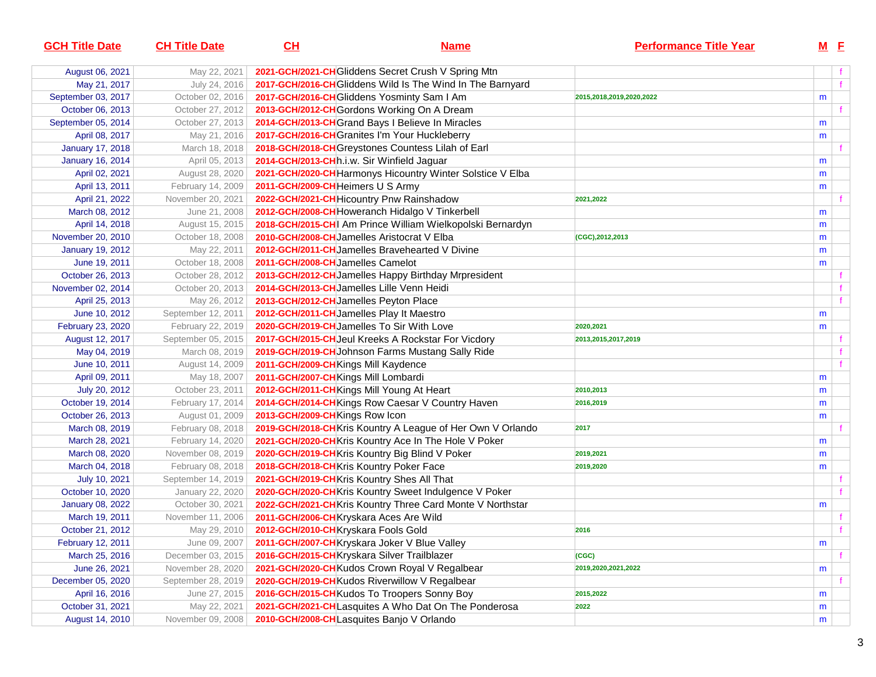| <b>GCH Title Date</b>   | <b>CH Title Date</b> | CL                                           | <u>Name</u>                                                 | <b>Performance Title Year</b> | $M$ E |              |
|-------------------------|----------------------|----------------------------------------------|-------------------------------------------------------------|-------------------------------|-------|--------------|
| August 06, 2021         | May 22, 2021         |                                              | 2021-GCH/2021-CH Gliddens Secret Crush V Spring Mtn         |                               |       |              |
| May 21, 2017            | July 24, 2016        |                                              | 2017-GCH/2016-CH Gliddens Wild Is The Wind In The Barnyard  |                               |       | f            |
| September 03, 2017      | October 02, 2016     |                                              | 2017-GCH/2016-CH Gliddens Yosminty Sam I Am                 | 2015,2018,2019,2020,2022      | m     |              |
| October 06, 2013        | October 27, 2012     |                                              | 2013-GCH/2012-CH Gordons Working On A Dream                 |                               |       |              |
| September 05, 2014      | October 27, 2013     |                                              | 2014-GCH/2013-CH Grand Bays I Believe In Miracles           |                               | m     |              |
| April 08, 2017          | May 21, 2016         |                                              | 2017-GCH/2016-CH Granites I'm Your Huckleberry              |                               | m     |              |
| <b>January 17, 2018</b> | March 18, 2018       |                                              | 2018-GCH/2018-CH Greystones Countess Lilah of Earl          |                               |       |              |
| <b>January 16, 2014</b> | April 05, 2013       | 2014-GCH/2013-CHR.i.w. Sir Winfield Jaguar   |                                                             |                               | m     |              |
| April 02, 2021          | August 28, 2020      |                                              | 2021-GCH/2020-CH Harmonys Hicountry Winter Solstice V Elba  |                               | m     |              |
| April 13, 2011          | February 14, 2009    | 2011-GCH/2009-CH Heimers U S Army            |                                                             |                               | m     |              |
| April 21, 2022          | November 20, 2021    |                                              | 2022-GCH/2021-CH Hicountry Pnw Rainshadow                   | 2021,2022                     |       |              |
| March 08, 2012          | June 21, 2008        |                                              | 2012-GCH/2008-CH Howeranch Hidalgo V Tinkerbell             |                               | m     |              |
| April 14, 2018          | August 15, 2015      |                                              | 2018-GCH/2015-CH  Am Prince William Wielkopolski Bernardyn  |                               | m     |              |
| November 20, 2010       | October 18, 2008     | 2010-GCH/2008-CHJamelles Aristocrat V Elba   |                                                             | (CGC), 2012, 2013             | m     |              |
| <b>January 19, 2012</b> | May 22, 2011         |                                              | 2012-GCH/2011-CH Jamelles Bravehearted V Divine             |                               | m     |              |
| June 19, 2011           | October 18, 2008     | 2011-GCH/2008-CH Jamelles Camelot            |                                                             |                               | m     |              |
| October 26, 2013        | October 28, 2012     |                                              | 2013-GCH/2012-CH Jamelles Happy Birthday Mrpresident        |                               |       | f            |
| November 02, 2014       | October 20, 2013     | 2014-GCH/2013-CH Jamelles Lille Venn Heidi   |                                                             |                               |       | f            |
| April 25, 2013          | May 26, 2012         | 2013-GCH/2012-CH Jamelles Peyton Place       |                                                             |                               |       |              |
| June 10, 2012           | September 12, 2011   | 2012-GCH/2011-CH Jamelles Play It Maestro    |                                                             |                               | m     |              |
| February 23, 2020       | February 22, 2019    | 2020-GCH/2019-CHJamelles To Sir With Love    |                                                             | 2020,2021                     | m     |              |
| August 12, 2017         | September 05, 2015   |                                              | 2017-GCH/2015-CH Jeul Kreeks A Rockstar For Vicdory         | 2013,2015,2017,2019           |       |              |
| May 04, 2019            | March 08, 2019       |                                              | 2019-GCH/2019-CH Johnson Farms Mustang Sally Ride           |                               |       |              |
| June 10, 2011           | August 14, 2009      | 2011-GCH/2009-CH Kings Mill Kaydence         |                                                             |                               |       | $\mathbf{f}$ |
| April 09, 2011          | May 18, 2007         | 2011-GCH/2007-CH Kings Mill Lombardi         |                                                             |                               | m     |              |
| July 20, 2012           | October 23, 2011     | 2012-GCH/2011-CHKings Mill Young At Heart    |                                                             | 2010,2013                     | m     |              |
| October 19, 2014        | February 17, 2014    |                                              | 2014-GCH/2014-CHKings Row Caesar V Country Haven            | 2016,2019                     | m     |              |
| October 26, 2013        | August 01, 2009      | 2013-GCH/2009-CHKings Row Icon               |                                                             |                               | m     |              |
| March 08, 2019          | February 08, 2018    |                                              | 2019-GCH/2018-CH Kris Kountry A League of Her Own V Orlando | 2017                          |       |              |
| March 28, 2021          | February 14, 2020    |                                              | 2021-GCH/2020-CHKris Kountry Ace In The Hole V Poker        |                               | m     |              |
| March 08, 2020          | November 08, 2019    |                                              | 2020-GCH/2019-CHKris Kountry Big Blind V Poker              | 2019,2021                     | m     |              |
| March 04, 2018          | February 08, 2018    | 2018-GCH/2018-CHKris Kountry Poker Face      |                                                             | 2019,2020                     | m     |              |
| July 10, 2021           | September 14, 2019   | 2021-GCH/2019-CHKris Kountry Shes All That   |                                                             |                               |       |              |
| October 10, 2020        | January 22, 2020     |                                              | 2020-GCH/2020-CHKris Kountry Sweet Indulgence V Poker       |                               |       |              |
| January 08, 2022        | October 30, 2021     |                                              | 2022-GCH/2021-CHKris Kountry Three Card Monte V Northstar   |                               | m     |              |
| March 19, 2011          | November 11, 2006    | 2011-GCH/2006-CHKryskara Aces Are Wild       |                                                             |                               |       |              |
| October 21, 2012        | May 29, 2010         | 2012-GCH/2010-CHKryskara Fools Gold          |                                                             | 2016                          |       |              |
| February 12, 2011       | June 09, 2007        |                                              | 2011-GCH/2007-CH Kryskara Joker V Blue Valley               |                               | m     |              |
| March 25, 2016          | December 03, 2015    | 2016-GCH/2015-CH Kryskara Silver Trailblazer |                                                             | (CGC)                         |       |              |
| June 26, 2021           | November 28, 2020    |                                              | 2021-GCH/2020-CH Kudos Crown Royal V Regalbear              | 2019,2020,2021,2022           | m     |              |
| December 05, 2020       | September 28, 2019   |                                              | 2020-GCH/2019-CH Kudos Riverwillow V Regalbear              |                               |       |              |
| April 16, 2016          | June 27, 2015        |                                              | 2016-GCH/2015-CH Kudos To Troopers Sonny Boy                | 2015,2022                     | m     |              |
| October 31, 2021        | May 22, 2021         |                                              | 2021-GCH/2021-CHLasquites A Who Dat On The Ponderosa        | 2022                          | m     |              |
| August 14, 2010         | November 09, 2008    | 2010-GCH/2008-CHLasquites Banjo V Orlando    |                                                             |                               | m     |              |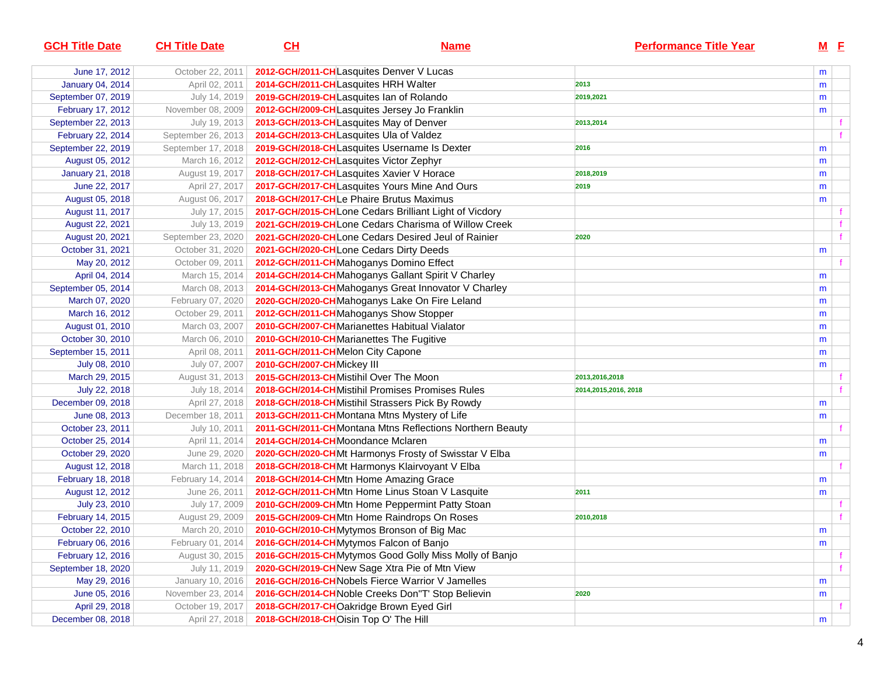| <b>GCH Title Date</b>   | <b>CH Title Date</b> | CL                                       | <b>Name</b>                                              | <b>Performance Title Year</b> |   | $M$ E |  |
|-------------------------|----------------------|------------------------------------------|----------------------------------------------------------|-------------------------------|---|-------|--|
| June 17, 2012           | October 22, 2011     |                                          | 2012-GCH/2011-CHLasquites Denver V Lucas                 |                               | m |       |  |
| January 04, 2014        | April 02, 2011       | 2014-GCH/2011-CHLasquites HRH Walter     |                                                          | 2013                          | m |       |  |
| September 07, 2019      | July 14, 2019        |                                          | 2019-GCH/2019-CHLasquites Ian of Rolando                 | 2019,2021                     | m |       |  |
| February 17, 2012       | November 08, 2009    |                                          | 2012-GCH/2009-CHLasquites Jersey Jo Franklin             |                               | m |       |  |
| September 22, 2013      | July 19, 2013        | 2013-GCH/2013-CHLasquites May of Denver  |                                                          | 2013,2014                     |   |       |  |
| February 22, 2014       | September 26, 2013   | 2014-GCH/2013-CHLasquites Ula of Valdez  |                                                          |                               |   |       |  |
| September 22, 2019      | September 17, 2018   |                                          | 2019-GCH/2018-CHL asquites Username Is Dexter            | 2016                          | m |       |  |
| August 05, 2012         | March 16, 2012       | 2012-GCH/2012-CHLasquites Victor Zephyr  |                                                          |                               | m |       |  |
| <b>January 21, 2018</b> | August 19, 2017      |                                          | 2018-GCH/2017-CHLasquites Xavier V Horace                | 2018,2019                     | m |       |  |
| June 22, 2017           | April 27, 2017       |                                          | 2017-GCH/2017-CHLasquites Yours Mine And Ours            | 2019                          | m |       |  |
| August 05, 2018         | August 06, 2017      |                                          | 2018-GCH/2017-CHLe Phaire Brutus Maximus                 |                               | m |       |  |
| August 11, 2017         | July 17, 2015        |                                          | 2017-GCH/2015-CHLone Cedars Brilliant Light of Vicdory   |                               |   |       |  |
| August 22, 2021         | July 13, 2019        |                                          | 2021-GCH/2019-CHLone Cedars Charisma of Willow Creek     |                               |   |       |  |
| August 20, 2021         | September 23, 2020   |                                          | 2021-GCH/2020-CHLone Cedars Desired Jeul of Rainier      | 2020                          |   |       |  |
| October 31, 2021        | October 31, 2020     |                                          | 2021-GCH/2020-CHLone Cedars Dirty Deeds                  |                               | m |       |  |
| May 20, 2012            | October 09, 2011     |                                          | 2012-GCH/2011-CHMahoganys Domino Effect                  |                               |   |       |  |
| April 04, 2014          | March 15, 2014       |                                          | 2014-GCH/2014-CH Mahoganys Gallant Spirit V Charley      |                               | m |       |  |
| September 05, 2014      | March 08, 2013       |                                          | 2014-GCH/2013-CHMahoganys Great Innovator V Charley      |                               | m |       |  |
| March 07, 2020          | February 07, 2020    |                                          | 2020-GCH/2020-CHMahoganys Lake On Fire Leland            |                               | m |       |  |
| March 16, 2012          | October 29, 2011     |                                          | 2012-GCH/2011-CHMahoganys Show Stopper                   |                               | m |       |  |
| August 01, 2010         | March 03, 2007       |                                          | 2010-GCH/2007-CHMarianettes Habitual Vialator            |                               | m |       |  |
| October 30, 2010        | March 06, 2010       | 2010-GCH/2010-CHMarianettes The Fugitive |                                                          |                               | m |       |  |
| September 15, 2011      | April 08, 2011       | 2011-GCH/2011-CHMelon City Capone        |                                                          |                               | m |       |  |
| July 08, 2010           | July 07, 2007        | 2010-GCH/2007-CHMickey III               |                                                          |                               | m |       |  |
| March 29, 2015          | August 31, 2013      | 2015-GCH/2013-CHMistihil Over The Moon   |                                                          | 2013,2016,2018                |   |       |  |
| July 22, 2018           | July 18, 2014        |                                          | 2018-GCH/2014-CHMistihil Promises Promises Rules         | 2014,2015,2016, 2018          |   |       |  |
| December 09, 2018       | April 27, 2018       |                                          | 2018-GCH/2018-CHMistihil Strassers Pick By Rowdy         |                               | m |       |  |
| June 08, 2013           | December 18, 2011    |                                          | 2013-GCH/2011-CH Montana Mtns Mystery of Life            |                               | m |       |  |
| October 23, 2011        | July 10, 2011        |                                          | 2011-GCH/2011-CHMontana Mtns Reflections Northern Beauty |                               |   |       |  |
| October 25, 2014        | April 11, 2014       | 2014-GCH/2014-CH Moondance Mclaren       |                                                          |                               | m |       |  |
| October 29, 2020        | June 29, 2020        |                                          | 2020-GCH/2020-CHMt Harmonys Frosty of Swisstar V Elba    |                               | m |       |  |
| August 12, 2018         | March 11, 2018       |                                          | 2018-GCH/2018-CHMt Harmonys Klairvoyant V Elba           |                               |   |       |  |
| February 18, 2018       | February 14, 2014    |                                          | 2018-GCH/2014-CHMtn Home Amazing Grace                   |                               | m |       |  |
| August 12, 2012         | June 26, 2011        |                                          | 2012-GCH/2011-CHMtn Home Linus Stoan V Lasquite          | 2011                          | m |       |  |
| July 23, 2010           | July 17, 2009        |                                          | 2010-GCH/2009-CHMtn Home Peppermint Patty Stoan          |                               |   |       |  |
| February 14, 2015       | August 29, 2009      |                                          | 2015-GCH/2009-CHMtn Home Raindrops On Roses              | 2010,2018                     |   |       |  |
| October 22, 2010        | March 20, 2010       |                                          | 2010-GCH/2010-CHMytymos Bronson of Big Mac               |                               | m |       |  |
| February 06, 2016       | February 01, 2014    |                                          | 2016-GCH/2014-CHMytymos Falcon of Banjo                  |                               | m |       |  |
| February 12, 2016       | August 30, 2015      |                                          | 2016-GCH/2015-CHMytymos Good Golly Miss Molly of Banjo   |                               |   |       |  |
| September 18, 2020      | July 11, 2019        |                                          | 2020-GCH/2019-CHNew Sage Xtra Pie of Mtn View            |                               |   |       |  |
| May 29, 2016            | January 10, 2016     |                                          | 2016-GCH/2016-CH Nobels Fierce Warrior V Jamelles        |                               | m |       |  |
| June 05, 2016           | November 23, 2014    |                                          | 2016-GCH/2014-CH Noble Creeks Don"T' Stop Believin       | 2020                          | m |       |  |
| April 29, 2018          | October 19, 2017     |                                          | 2018-GCH/2017-CHOakridge Brown Eyed Girl                 |                               |   |       |  |
| December 08, 2018       | April 27, 2018       | 2018-GCH/2018-CHOisin Top O' The Hill    |                                                          |                               | m |       |  |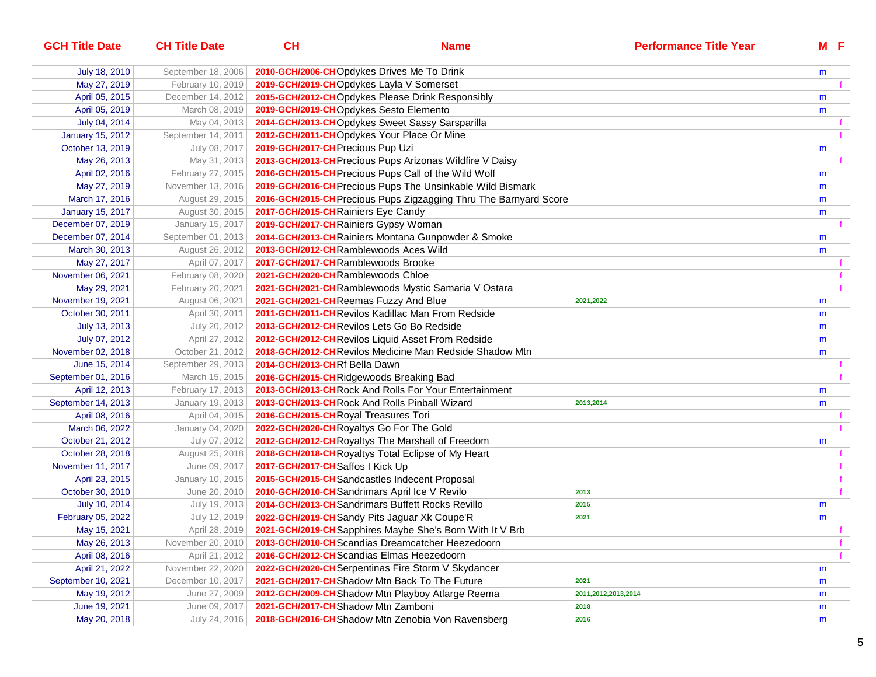| <b>GCH Title Date</b>   | <b>CH Title Date</b> | $CH$                                 | <b>Name</b>                                                       | <b>Performance Title Year</b> |   | $M$ E |
|-------------------------|----------------------|--------------------------------------|-------------------------------------------------------------------|-------------------------------|---|-------|
| July 18, 2010           | September 18, 2006   |                                      | 2010-GCH/2006-CHOpdykes Drives Me To Drink                        |                               | m |       |
| May 27, 2019            | February 10, 2019    |                                      | 2019-GCH/2019-CHOpdykes Layla V Somerset                          |                               |   | f.    |
| April 05, 2015          | December 14, 2012    |                                      | 2015-GCH/2012-CHOpdykes Please Drink Responsibly                  |                               | m |       |
| April 05, 2019          | March 08, 2019       |                                      | 2019-GCH/2019-CHOpdykes Sesto Elemento                            |                               | m |       |
| July 04, 2014           | May 04, 2013         |                                      | 2014-GCH/2013-CHOpdykes Sweet Sassy Sarsparilla                   |                               |   | f.    |
| <b>January 15, 2012</b> | September 14, 2011   |                                      | 2012-GCH/2011-CHOpdykes Your Place Or Mine                        |                               |   |       |
| October 13, 2019        | July 08, 2017        | 2019-GCH/2017-CH Precious Pup Uzi    |                                                                   |                               | m |       |
| May 26, 2013            | May 31, 2013         |                                      | 2013-GCH/2013-CH Precious Pups Arizonas Wildfire V Daisy          |                               |   |       |
| April 02, 2016          | February 27, 2015    |                                      | 2016-GCH/2015-CH Precious Pups Call of the Wild Wolf              |                               | m |       |
| May 27, 2019            | November 13, 2016    |                                      | 2019-GCH/2016-CH Precious Pups The Unsinkable Wild Bismark        |                               | m |       |
| March 17, 2016          | August 29, 2015      |                                      | 2016-GCH/2015-CH Precious Pups Zigzagging Thru The Barnyard Score |                               | m |       |
| <b>January 15, 2017</b> | August 30, 2015      | 2017-GCH/2015-CH Rainiers Eye Candy  |                                                                   |                               | m |       |
| December 07, 2019       | January 15, 2017     |                                      | 2019-GCH/2017-CHRainiers Gypsy Woman                              |                               |   |       |
| December 07, 2014       | September 01, 2013   |                                      | 2014-GCH/2013-CH Rainiers Montana Gunpowder & Smoke               |                               | m |       |
| March 30, 2013          | August 26, 2012      |                                      | 2013-GCH/2012-CHRamblewoods Aces Wild                             |                               | m |       |
| May 27, 2017            | April 07, 2017       | 2017-GCH/2017-CHRamblewoods Brooke   |                                                                   |                               |   |       |
| November 06, 2021       | February 08, 2020    | 2021-GCH/2020-CHRamblewoods Chloe    |                                                                   |                               |   | f.    |
| May 29, 2021            | February 20, 2021    |                                      | 2021-GCH/2021-CHRamblewoods Mystic Samaria V Ostara               |                               |   |       |
| November 19, 2021       | August 06, 2021      |                                      | 2021-GCH/2021-CHReemas Fuzzy And Blue                             | 2021,2022                     | m |       |
| October 30, 2011        | April 30, 2011       |                                      | 2011-GCH/2011-CHRevilos Kadillac Man From Redside                 |                               | m |       |
| July 13, 2013           | July 20, 2012        |                                      | 2013-GCH/2012-CHRevilos Lets Go Bo Redside                        |                               | m |       |
| July 07, 2012           | April 27, 2012       |                                      | 2012-GCH/2012-CHRevilos Liquid Asset From Redside                 |                               | m |       |
| November 02, 2018       | October 21, 2012     |                                      | 2018-GCH/2012-CHRevilos Medicine Man Redside Shadow Mtn           |                               | m |       |
| June 15, 2014           | September 29, 2013   | 2014-GCH/2013-CHRf Bella Dawn        |                                                                   |                               |   |       |
| September 01, 2016      | March 15, 2015       |                                      | 2016-GCH/2015-CHRidgewoods Breaking Bad                           |                               |   | f.    |
| April 12, 2013          | February 17, 2013    |                                      | 2013-GCH/2013-CHRock And Rolls For Your Entertainment             |                               | m |       |
| September 14, 2013      | January 19, 2013     |                                      | 2013-GCH/2013-CHRock And Rolls Pinball Wizard                     | 2013,2014                     | m |       |
| April 08, 2016          | April 04, 2015       | 2016-GCH/2015-CHRoyal Treasures Tori |                                                                   |                               |   | f.    |
| March 06, 2022          | January 04, 2020     |                                      | 2022-GCH/2020-CHRoyaltys Go For The Gold                          |                               |   | f.    |
| October 21, 2012        | July 07, 2012        |                                      | 2012-GCH/2012-CHRoyaltys The Marshall of Freedom                  |                               | m |       |
| October 28, 2018        | August 25, 2018      |                                      | 2018-GCH/2018-CH Royaltys Total Eclipse of My Heart               |                               |   | f.    |
| November 11, 2017       | June 09, 2017        | 2017-GCH/2017-CH Saffos I Kick Up    |                                                                   |                               |   | f     |
| April 23, 2015          | January 10, 2015     |                                      | 2015-GCH/2015-CH Sandcastles Indecent Proposal                    |                               |   | f     |
| October 30, 2010        | June 20, 2010        |                                      | 2010-GCH/2010-CH Sandrimars April Ice V Revilo                    | 2013                          |   | f     |
| July 10, 2014           | July 19, 2013        |                                      | 2014-GCH/2013-CHSandrimars Buffett Rocks Revillo                  | 2015                          | m |       |
| February 05, 2022       | July 12, 2019        |                                      | 2022-GCH/2019-CH Sandy Pits Jaguar Xk Coupe'R                     | 2021                          | m |       |
| May 15, 2021            | April 28, 2019       |                                      | 2021-GCH/2019-CH Sapphires Maybe She's Born With It V Brb         |                               |   |       |
| May 26, 2013            | November 20, 2010    |                                      | 2013-GCH/2010-CHScandias Dreamcatcher Heezedoorn                  |                               |   |       |
| April 08, 2016          | April 21, 2012       |                                      | 2016-GCH/2012-CHScandias Elmas Heezedoorn                         |                               |   | f.    |
| April 21, 2022          | November 22, 2020    |                                      | 2022-GCH/2020-CH Serpentinas Fire Storm V Skydancer               |                               | m |       |
| September 10, 2021      | December 10, 2017    |                                      | 2021-GCH/2017-CH Shadow Mtn Back To The Future                    | 2021                          | m |       |
| May 19, 2012            | June 27, 2009        |                                      | 2012-GCH/2009-CH Shadow Mtn Playboy Atlarge Reema                 | 2011,2012,2013,2014           | m |       |
| June 19, 2021           | June 09, 2017        | 2021-GCH/2017-CH Shadow Mtn Zamboni  |                                                                   | 2018                          | m |       |
| May 20, 2018            | July 24, 2016        |                                      | 2018-GCH/2016-CHShadow Mtn Zenobia Von Ravensberg                 | 2016                          | m |       |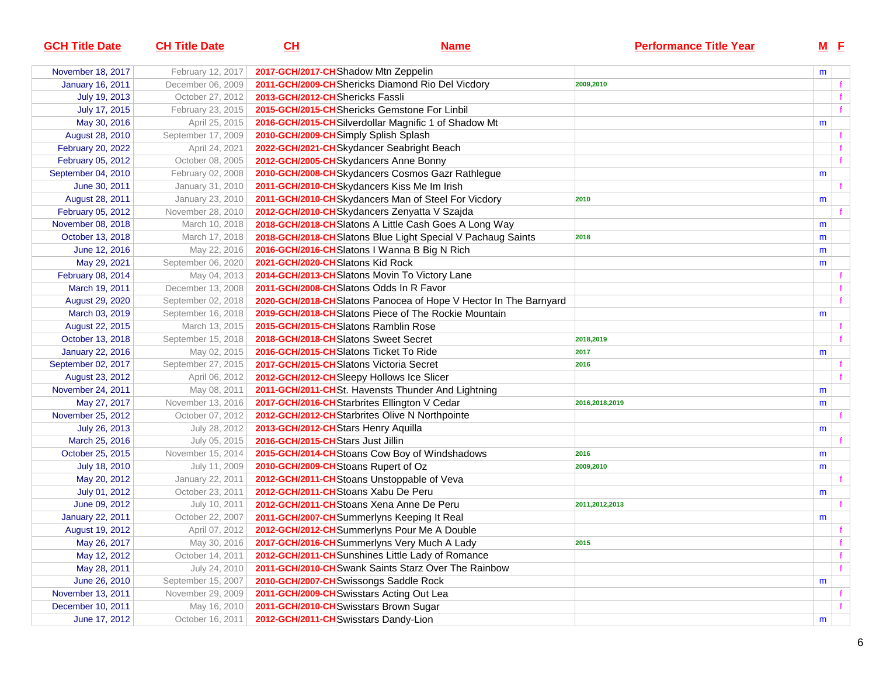| <b>GCH Title Date</b>   | <b>CH Title Date</b> | $CH$                                            | <u>Name</u>                                                      | <b>Performance Title Year</b> | $M$ $E$ |              |
|-------------------------|----------------------|-------------------------------------------------|------------------------------------------------------------------|-------------------------------|---------|--------------|
| November 18, 2017       | February 12, 2017    | 2017-GCH/2017-CH Shadow Mtn Zeppelin            |                                                                  |                               | m       |              |
| <b>January 16, 2011</b> | December 06, 2009    |                                                 | 2011-GCH/2009-CHShericks Diamond Rio Del Vicdory                 | 2009,2010                     |         | f            |
| July 19, 2013           | October 27, 2012     | 2013-GCH/2012-CHShericks Fassli                 |                                                                  |                               |         |              |
| July 17, 2015           | February 23, 2015    | 2015-GCH/2015-CH Shericks Gemstone For Linbil   |                                                                  |                               |         |              |
| May 30, 2016            | April 25, 2015       |                                                 | 2016-GCH/2015-CHSilverdollar Magnific 1 of Shadow Mt             |                               | m       |              |
| August 28, 2010         | September 17, 2009   | 2010-GCH/2009-CHSimply Splish Splash            |                                                                  |                               |         |              |
| February 20, 2022       | April 24, 2021       | 2022-GCH/2021-CHSkydancer Seabright Beach       |                                                                  |                               |         | $\mathbf{f}$ |
| February 05, 2012       | October 08, 2005     | 2012-GCH/2005-CHSkydancers Anne Bonny           |                                                                  |                               |         | f            |
| September 04, 2010      | February 02, 2008    |                                                 | 2010-GCH/2008-CH Skydancers Cosmos Gazr Rathlegue                |                               | m       |              |
| June 30, 2011           | January 31, 2010     | 2011-GCH/2010-CHSkydancers Kiss Me Im Irish     |                                                                  |                               |         |              |
| August 28, 2011         | January 23, 2010     |                                                 | 2011-GCH/2010-CH Skydancers Man of Steel For Vicdory             | 2010                          | m       |              |
| February 05, 2012       | November 28, 2010    |                                                 | 2012-GCH/2010-CHSkydancers Zenyatta V Szajda                     |                               |         |              |
| November 08, 2018       | March 10, 2018       |                                                 | 2018-GCH/2018-CHSlatons A Little Cash Goes A Long Way            |                               | m       |              |
| October 13, 2018        | March 17, 2018       |                                                 | 2018-GCH/2018-CH Slatons Blue Light Special V Pachaug Saints     | 2018                          | m       |              |
| June 12, 2016           | May 22, 2016         | 2016-GCH/2016-CHSlatons I Wanna B Big N Rich    |                                                                  |                               | m       |              |
| May 29, 2021            | September 06, 2020   | 2021-GCH/2020-CHSlatons Kid Rock                |                                                                  |                               | m       |              |
| February 08, 2014       | May 04, 2013         |                                                 | 2014-GCH/2013-CH Slatons Movin To Victory Lane                   |                               |         |              |
| March 19, 2011          | December 13, 2008    | 2011-GCH/2008-CHSlatons Odds In R Favor         |                                                                  |                               |         | f            |
| August 29, 2020         | September 02, 2018   |                                                 | 2020-GCH/2018-CHSlatons Panocea of Hope V Hector In The Barnyard |                               |         | $\mathbf{f}$ |
| March 03, 2019          | September 16, 2018   |                                                 | 2019-GCH/2018-CHSlatons Piece of The Rockie Mountain             |                               | m       |              |
| August 22, 2015         | March 13, 2015       | 2015-GCH/2015-CH Slatons Ramblin Rose           |                                                                  |                               |         |              |
| October 13, 2018        | September 15, 2018   | 2018-GCH/2018-CHSlatons Sweet Secret            |                                                                  | 2018,2019                     |         | f            |
| <b>January 22, 2016</b> | May 02, 2015         | 2016-GCH/2015-CHSlatons Ticket To Ride          |                                                                  | 2017                          | m       |              |
| September 02, 2017      | September 27, 2015   | 2017-GCH/2015-CHSlatons Victoria Secret         |                                                                  | 2016                          |         | f            |
| August 23, 2012         | April 06, 2012       | 2012-GCH/2012-CH Sleepy Hollows Ice Slicer      |                                                                  |                               |         | f            |
| November 24, 2011       | May 08, 2011         |                                                 | 2011-GCH/2011-CHSt. Havensts Thunder And Lightning               |                               | m       |              |
| May 27, 2017            | November 13, 2016    | 2017-GCH/2016-CH Starbrites Ellington V Cedar   |                                                                  | 2016,2018,2019                | m       |              |
| November 25, 2012       | October 07, 2012     | 2012-GCH/2012-CH Starbrites Olive N Northpointe |                                                                  |                               |         |              |
| July 26, 2013           | July 28, 2012        | 2013-GCH/2012-CHStars Henry Aquilla             |                                                                  |                               | m       |              |
| March 25, 2016          | July 05, 2015        | 2016-GCH/2015-CHStars Just Jillin               |                                                                  |                               |         |              |
| October 25, 2015        | November 15, 2014    |                                                 | 2015-GCH/2014-CHStoans Cow Boy of Windshadows                    | 2016                          | m       |              |
| July 18, 2010           | July 11, 2009        | 2010-GCH/2009-CH Stoans Rupert of Oz            |                                                                  | 2009,2010                     | m       |              |
| May 20, 2012            | January 22, 2011     | 2012-GCH/2011-CHStoans Unstoppable of Veva      |                                                                  |                               |         |              |
| July 01, 2012           | October 23, 2011     | 2012-GCH/2011-CHStoans Xabu De Peru             |                                                                  |                               | m       |              |
| June 09, 2012           | July 10, 2011        | 2012-GCH/2011-CHStoans Xena Anne De Peru        |                                                                  | 2011,2012,2013                |         |              |
| <b>January 22, 2011</b> | October 22, 2007     | 2011-GCH/2007-CH Summerlyns Keeping It Real     |                                                                  |                               | m       |              |
| August 19, 2012         | April 07, 2012       |                                                 | 2012-GCH/2012-CH Summerlyns Pour Me A Double                     |                               |         |              |
| May 26, 2017            | May 30, 2016         |                                                 | 2017-GCH/2016-CH Summerlyns Very Much A Lady                     | 2015                          |         | T.           |
| May 12, 2012            | October 14, 2011     |                                                 | 2012-GCH/2011-CHSunshines Little Lady of Romance                 |                               |         | f            |
| May 28, 2011            | July 24, 2010        |                                                 | 2011-GCH/2010-CH Swank Saints Starz Over The Rainbow             |                               |         | f            |
| June 26, 2010           | September 15, 2007   | 2010-GCH/2007-CH Swissongs Saddle Rock          |                                                                  |                               | m       |              |
| November 13, 2011       | November 29, 2009    | 2011-GCH/2009-CH Swisstars Acting Out Lea       |                                                                  |                               |         |              |
| December 10, 2011       | May 16, 2010         | 2011-GCH/2010-CH Swisstars Brown Sugar          |                                                                  |                               |         |              |
| June 17, 2012           | October 16, 2011     | 2012-GCH/2011-CH Swisstars Dandy-Lion           |                                                                  |                               | m       |              |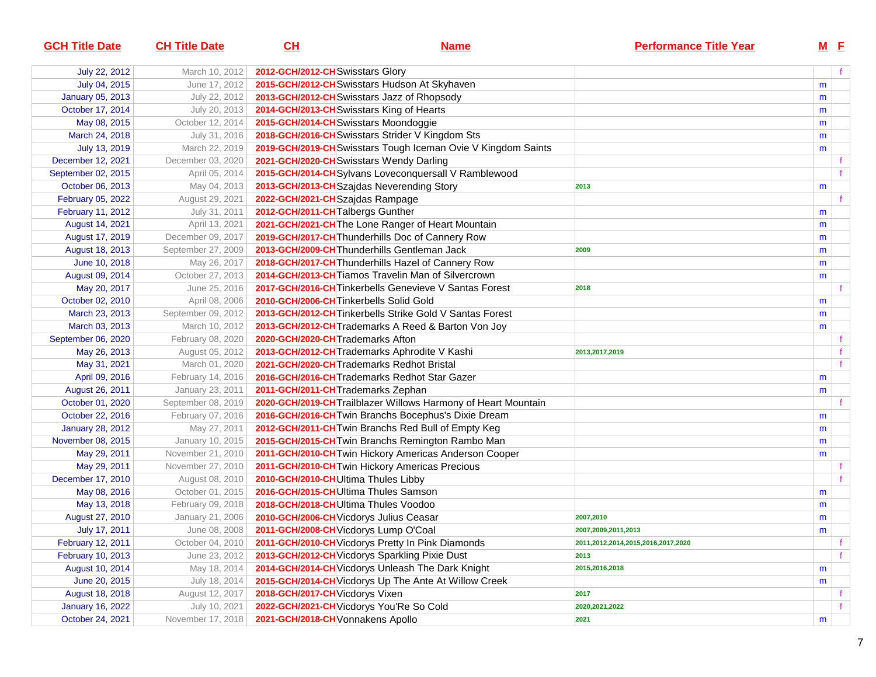| <b>GCH Title Date</b>   | <b>CH Title Date</b> | CH                                       | <b>Name</b>                                                    | <b>Performance Title Year</b>      |   | $M$ E |                |
|-------------------------|----------------------|------------------------------------------|----------------------------------------------------------------|------------------------------------|---|-------|----------------|
| July 22, 2012           | March 10, 2012       | 2012-GCH/2012-CH Swisstars Glory         |                                                                |                                    |   |       |                |
| July 04, 2015           | June 17, 2012        |                                          | 2015-GCH/2012-CHSwisstars Hudson At Skyhaven                   |                                    | m |       |                |
| January 05, 2013        | July 22, 2012        |                                          | 2013-GCH/2012-CHSwisstars Jazz of Rhopsody                     |                                    | m |       |                |
| October 17, 2014        | July 20, 2013        | 2014-GCH/2013-CHSwisstars King of Hearts |                                                                |                                    | m |       |                |
| May 08, 2015            | October 12, 2014     | 2015-GCH/2014-CHSwisstars Moondoggie     |                                                                |                                    | m |       |                |
| March 24, 2018          | July 31, 2016        |                                          | 2018-GCH/2016-CH Swisstars Strider V Kingdom Sts               |                                    | m |       |                |
| July 13, 2019           | March 22, 2019       |                                          | 2019-GCH/2019-CH Swisstars Tough Iceman Ovie V Kingdom Saints  |                                    | m |       |                |
| December 12, 2021       | December 03, 2020    |                                          | 2021-GCH/2020-CH Swisstars Wendy Darling                       |                                    |   |       |                |
| September 02, 2015      | April 05, 2014       |                                          | 2015-GCH/2014-CHSylvans Loveconquersall V Ramblewood           |                                    |   |       |                |
| October 06, 2013        | May 04, 2013         |                                          | 2013-GCH/2013-CH Szajdas Neverending Story                     | 2013                               | m |       |                |
| February 05, 2022       | August 29, 2021      | 2022-GCH/2021-CHSzajdas Rampage          |                                                                |                                    |   |       |                |
| February 11, 2012       | July 31, 2011        | 2012-GCH/2011-CH Talbergs Gunther        |                                                                |                                    | m |       |                |
| August 14, 2021         | April 13, 2021       |                                          | 2021-GCH/2021-CH The Lone Ranger of Heart Mountain             |                                    | m |       |                |
| August 17, 2019         | December 09, 2017    |                                          | 2019-GCH/2017-CH Thunderhills Doc of Cannery Row               |                                    | m |       |                |
| August 18, 2013         | September 27, 2009   |                                          | 2013-GCH/2009-CH Thunderhills Gentleman Jack                   | 2009                               | m |       |                |
| June 10, 2018           | May 26, 2017         |                                          | 2018-GCH/2017-CH Thunderhills Hazel of Cannery Row             |                                    | m |       |                |
| August 09, 2014         | October 27, 2013     |                                          | 2014-GCH/2013-CH Tiamos Travelin Man of Silvercrown            |                                    | m |       |                |
| May 20, 2017            | June 25, 2016        |                                          | 2017-GCH/2016-CH Tinkerbells Genevieve V Santas Forest         | 2018                               |   |       |                |
| October 02, 2010        | April 08, 2006       | 2010-GCH/2006-CH Tinkerbells Solid Gold  |                                                                |                                    | m |       |                |
| March 23, 2013          | September 09, 2012   |                                          | 2013-GCH/2012-CH Tinkerbells Strike Gold V Santas Forest       |                                    | m |       |                |
| March 03, 2013          | March 10, 2012       |                                          | 2013-GCH/2012-CH Trademarks A Reed & Barton Von Joy            |                                    | m |       |                |
| September 06, 2020      | February 08, 2020    | 2020-GCH/2020-CH Trademarks Afton        |                                                                |                                    |   |       |                |
| May 26, 2013            | August 05, 2012      |                                          | 2013-GCH/2012-CH Trademarks Aphrodite V Kashi                  | 2013,2017,2019                     |   |       |                |
| May 31, 2021            | March 01, 2020       |                                          | 2021-GCH/2020-CH Trademarks Redhot Bristal                     |                                    |   |       |                |
| April 09, 2016          | February 14, 2016    |                                          | 2016-GCH/2016-CH Trademarks Redhot Star Gazer                  |                                    | m |       |                |
| August 26, 2011         | January 23, 2011     | 2011-GCH/2011-CH Trademarks Zephan       |                                                                |                                    | m |       |                |
| October 01, 2020        | September 08, 2019   |                                          | 2020-GCH/2019-CH Trailblazer Willows Harmony of Heart Mountain |                                    |   |       |                |
| October 22, 2016        | February 07, 2016    |                                          | 2016-GCH/2016-CH Twin Branchs Bocephus's Dixie Dream           |                                    | m |       |                |
| <b>January 28, 2012</b> | May 27, 2011         |                                          | 2012-GCH/2011-CH Twin Branchs Red Bull of Empty Keg            |                                    | m |       |                |
| November 08, 2015       | January 10, 2015     |                                          | 2015-GCH/2015-CH Twin Branchs Remington Rambo Man              |                                    | m |       |                |
| May 29, 2011            | November 21, 2010    |                                          | 2011-GCH/2010-CH Twin Hickory Americas Anderson Cooper         |                                    | m |       |                |
| May 29, 2011            | November 27, 2010    |                                          | 2011-GCH/2010-CH Twin Hickory Americas Precious                |                                    |   |       |                |
| December 17, 2010       | August 08, 2010      | 2010-GCH/2010-CHUltima Thules Libby      |                                                                |                                    |   |       |                |
| May 08, 2016            | October 01, 2015     | 2016-GCH/2015-CHUltima Thules Samson     |                                                                |                                    | m |       |                |
| May 13, 2018            | February 09, 2018    | 2018-GCH/2018-CHUltima Thules Voodoo     |                                                                |                                    | m |       |                |
| August 27, 2010         | January 21, 2006     | 2010-GCH/2006-CH Vicdorys Julius Ceasar  |                                                                | 2007,2010                          | m |       |                |
| July 17, 2011           | June 08, 2008        | 2011-GCH/2008-CH Vicdorys Lump O'Coal    |                                                                | 2007,2009,2011,2013                | m |       |                |
| February 12, 2011       | October 04, 2010     |                                          | 2011-GCH/2010-CH Vicdorys Pretty In Pink Diamonds              | 2011,2012,2014,2015,2016,2017,2020 |   |       |                |
| February 10, 2013       | June 23, 2012        |                                          | 2013-GCH/2012-CH Vicdorys Sparkling Pixie Dust                 | 2013                               |   |       | f              |
| August 10, 2014         | May 18, 2014         |                                          | 2014-GCH/2014-CH Vicdorys Unleash The Dark Knight              | 2015,2016,2018                     | m |       |                |
| June 20, 2015           | July 18, 2014        |                                          | 2015-GCH/2014-CH Vicdorys Up The Ante At Willow Creek          |                                    | m |       |                |
| August 18, 2018         | August 12, 2017      | 2018-GCH/2017-CH Vicdorys Vixen          |                                                                | 2017                               |   |       | t.             |
| <b>January 16, 2022</b> | July 10, 2021        |                                          | 2022-GCH/2021-CH Vicdorys You'Re So Cold                       | 2020, 2021, 2022                   |   |       | f <sub>1</sub> |
| October 24, 2021        | November 17, 2018    | 2021-GCH/2018-CH Vonnakens Apollo        |                                                                | 2021                               | m |       |                |